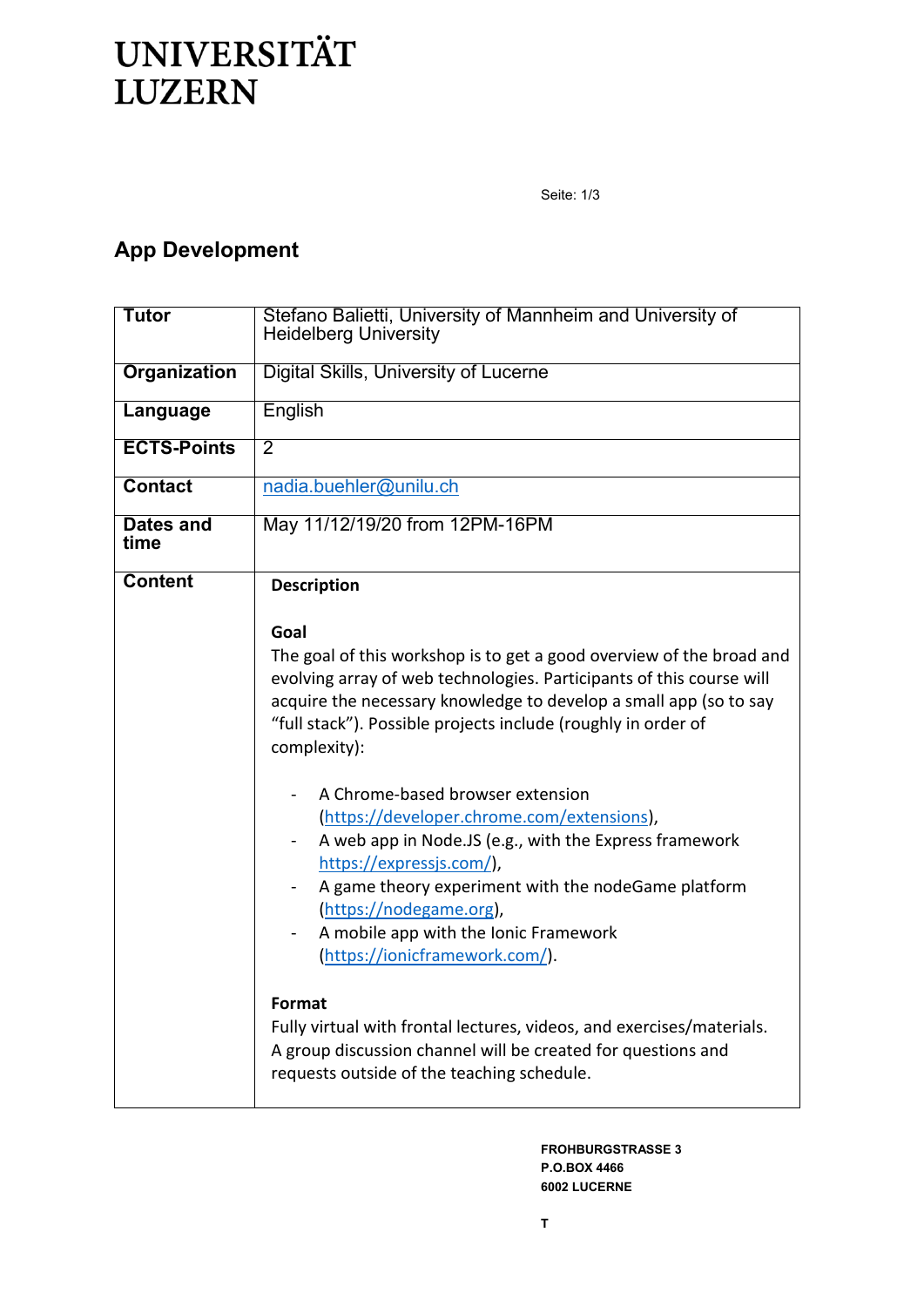## **UNIVERSITÄT LUZERN**

Seite: 1/3

## **App Development**

| <b>Tutor</b>        | Stefano Balietti, University of Mannheim and University of<br><b>Heidelberg University</b>                                                                                                                                                                                                                                                                    |
|---------------------|---------------------------------------------------------------------------------------------------------------------------------------------------------------------------------------------------------------------------------------------------------------------------------------------------------------------------------------------------------------|
| <b>Organization</b> | <b>Digital Skills, University of Lucerne</b>                                                                                                                                                                                                                                                                                                                  |
| Language            | English                                                                                                                                                                                                                                                                                                                                                       |
| <b>ECTS-Points</b>  | $\overline{2}$                                                                                                                                                                                                                                                                                                                                                |
| <b>Contact</b>      | nadia.buehler@unilu.ch                                                                                                                                                                                                                                                                                                                                        |
| Dates and<br>time   | May 11/12/19/20 from 12PM-16PM                                                                                                                                                                                                                                                                                                                                |
| <b>Content</b>      | <b>Description</b>                                                                                                                                                                                                                                                                                                                                            |
|                     | Goal                                                                                                                                                                                                                                                                                                                                                          |
|                     | The goal of this workshop is to get a good overview of the broad and<br>evolving array of web technologies. Participants of this course will<br>acquire the necessary knowledge to develop a small app (so to say<br>"full stack"). Possible projects include (roughly in order of<br>complexity):                                                            |
|                     | A Chrome-based browser extension<br>(https://developer.chrome.com/extensions),<br>A web app in Node.JS (e.g., with the Express framework<br>https://expressjs.com/),<br>A game theory experiment with the nodeGame platform<br>$\overline{\phantom{0}}$<br>(https://nodegame.org),<br>A mobile app with the Ionic Framework<br>(https://ionicframework.com/). |
|                     | Format<br>Fully virtual with frontal lectures, videos, and exercises/materials.<br>A group discussion channel will be created for questions and<br>requests outside of the teaching schedule.                                                                                                                                                                 |

**FROHBURGSTRASSE 3 P.O.BOX 4466 6002 LUCERNE**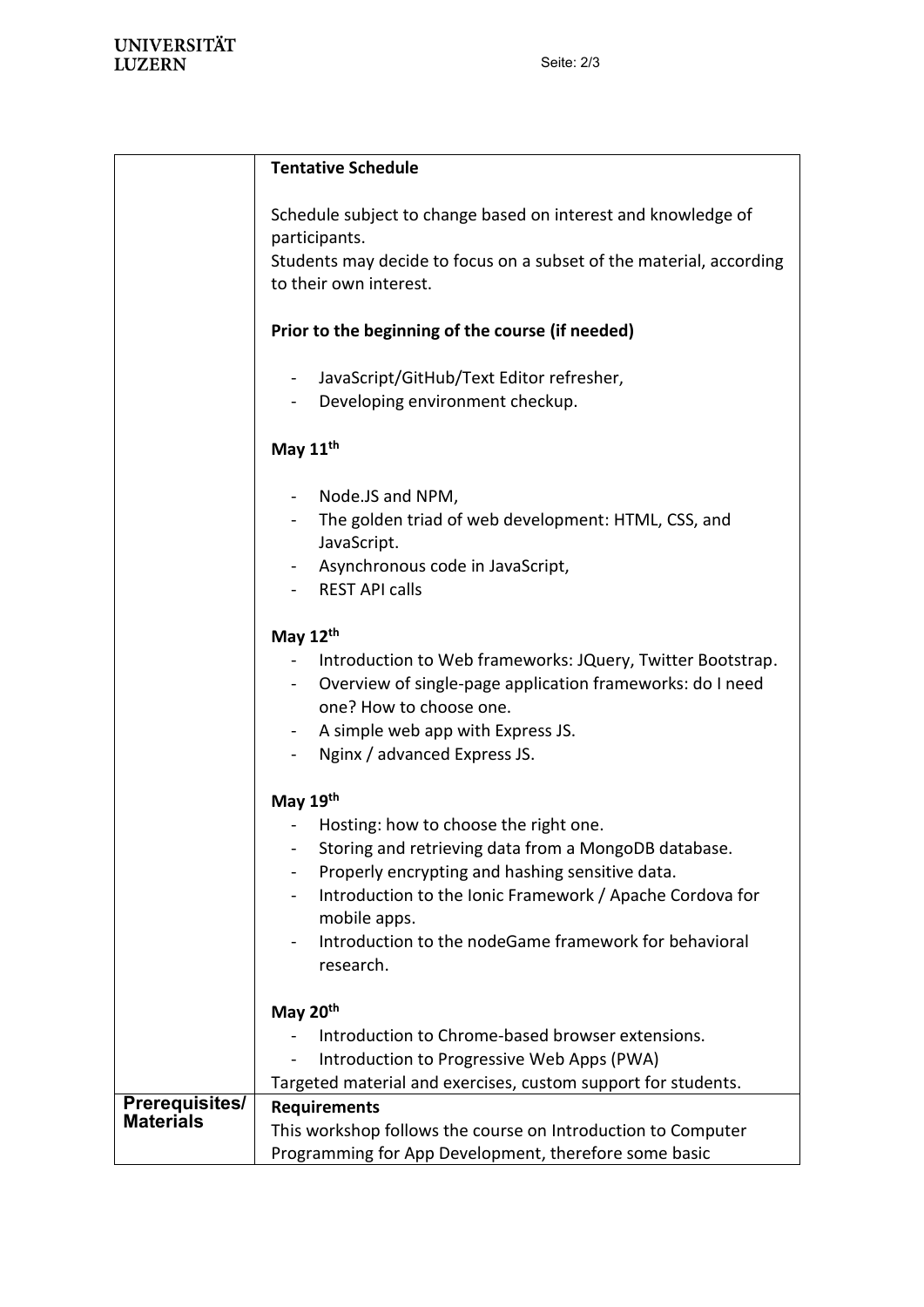|                                           | <b>Tentative Schedule</b>                                                                                               |
|-------------------------------------------|-------------------------------------------------------------------------------------------------------------------------|
|                                           | Schedule subject to change based on interest and knowledge of<br>participants.                                          |
|                                           | Students may decide to focus on a subset of the material, according<br>to their own interest.                           |
|                                           | Prior to the beginning of the course (if needed)                                                                        |
|                                           | JavaScript/GitHub/Text Editor refresher,                                                                                |
|                                           | Developing environment checkup.                                                                                         |
|                                           | May 11 <sup>th</sup>                                                                                                    |
|                                           | Node.JS and NPM,<br>$\sim$ 10 $\pm$                                                                                     |
|                                           | The golden triad of web development: HTML, CSS, and<br>JavaScript.                                                      |
|                                           | Asynchronous code in JavaScript,                                                                                        |
|                                           | <b>REST API calls</b>                                                                                                   |
|                                           | May $12th$                                                                                                              |
|                                           | Introduction to Web frameworks: JQuery, Twitter Bootstrap.<br>Overview of single-page application frameworks: do I need |
|                                           | one? How to choose one.                                                                                                 |
|                                           | A simple web app with Express JS.                                                                                       |
|                                           | Nginx / advanced Express JS.                                                                                            |
|                                           | May 19th                                                                                                                |
|                                           | Hosting: how to choose the right one.                                                                                   |
|                                           | Storing and retrieving data from a MongoDB database.                                                                    |
|                                           | Properly encrypting and hashing sensitive data.                                                                         |
|                                           | Introduction to the Ionic Framework / Apache Cordova for<br>mobile apps.                                                |
|                                           | Introduction to the nodeGame framework for behavioral                                                                   |
|                                           | research.                                                                                                               |
|                                           | May 20th                                                                                                                |
|                                           | Introduction to Chrome-based browser extensions.                                                                        |
|                                           | Introduction to Progressive Web Apps (PWA)                                                                              |
|                                           | Targeted material and exercises, custom support for students.                                                           |
| <b>Prerequisites/</b><br><b>Materials</b> | <b>Requirements</b>                                                                                                     |
|                                           | This workshop follows the course on Introduction to Computer                                                            |
|                                           | Programming for App Development, therefore some basic                                                                   |